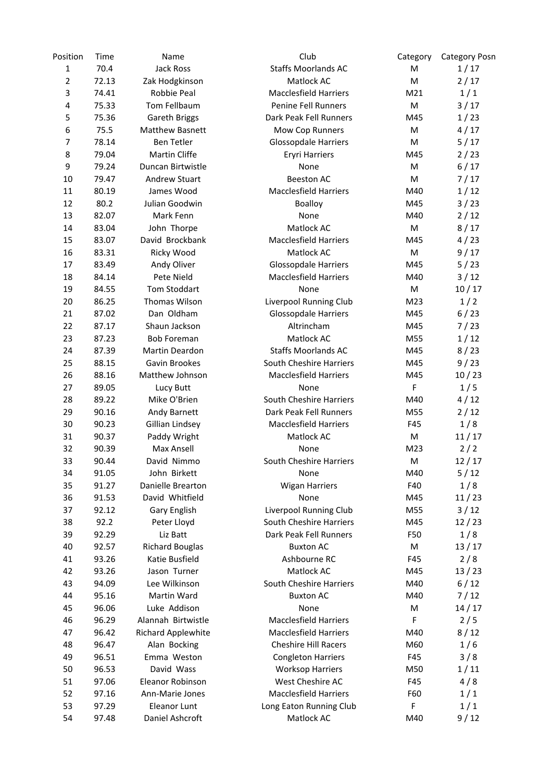| Position       | Time  | Name                      | Club                          | Category | <b>Category Posn</b> |
|----------------|-------|---------------------------|-------------------------------|----------|----------------------|
| $\mathbf{1}$   | 70.4  | Jack Ross                 | <b>Staffs Moorlands AC</b>    | M        | 1/17                 |
| 2              | 72.13 | Zak Hodgkinson            | Matlock AC                    | M        | 2/17                 |
| 3              | 74.41 | Robbie Peal               | <b>Macclesfield Harriers</b>  | M21      | 1/1                  |
| 4              | 75.33 | Tom Fellbaum              | Penine Fell Runners           | M        | $3/17$               |
| 5              | 75.36 | Gareth Briggs             | Dark Peak Fell Runners        | M45      | 1/23                 |
| $\,6$          | 75.5  | <b>Matthew Basnett</b>    | Mow Cop Runners               | M        | 4/17                 |
| $\overline{7}$ | 78.14 | Ben Tetler                | <b>Glossopdale Harriers</b>   | M        | 5/17                 |
| 8              | 79.04 | Martin Cliffe             | <b>Eryri Harriers</b>         | M45      | 2/23                 |
| 9              | 79.24 | Duncan Birtwistle         | None                          | M        | 6/17                 |
| 10             | 79.47 | <b>Andrew Stuart</b>      | <b>Beeston AC</b>             | M        | 7/17                 |
| 11             | 80.19 | James Wood                | <b>Macclesfield Harriers</b>  | M40      | 1/12                 |
| 12             | 80.2  | Julian Goodwin            | Boalloy                       | M45      | 3/23                 |
| 13             | 82.07 | Mark Fenn                 | None                          | M40      | 2/12                 |
| 14             | 83.04 | John Thorpe               | Matlock AC                    | M        | 8/17                 |
| 15             | 83.07 | David Brockbank           | <b>Macclesfield Harriers</b>  | M45      | 4/23                 |
| 16             | 83.31 | Ricky Wood                | Matlock AC                    | M        | 9/17                 |
| 17             | 83.49 | Andy Oliver               | Glossopdale Harriers          | M45      | 5/23                 |
| 18             | 84.14 | Pete Nield                | <b>Macclesfield Harriers</b>  | M40      | $3/12$               |
| 19             | 84.55 | Tom Stoddart              | None                          | M        | 10/17                |
| 20             | 86.25 | Thomas Wilson             | Liverpool Running Club        | M23      | 1/2                  |
| 21             | 87.02 | Dan Oldham                | <b>Glossopdale Harriers</b>   | M45      | 6/23                 |
| 22             | 87.17 | Shaun Jackson             | Altrincham                    | M45      | 7/23                 |
| 23             | 87.23 | <b>Bob Foreman</b>        | Matlock AC                    | M55      | 1/12                 |
| 24             | 87.39 | Martin Deardon            | <b>Staffs Moorlands AC</b>    | M45      | 8/23                 |
| 25             | 88.15 | Gavin Brookes             | South Cheshire Harriers       | M45      | 9/23                 |
| 26             | 88.16 | Matthew Johnson           | <b>Macclesfield Harriers</b>  | M45      | 10/23                |
| 27             | 89.05 | Lucy Butt                 | None                          | F        | 1/5                  |
| 28             | 89.22 | Mike O'Brien              | South Cheshire Harriers       | M40      | 4/12                 |
| 29             | 90.16 | Andy Barnett              | Dark Peak Fell Runners        | M55      | 2/12                 |
| 30             | 90.23 | Gillian Lindsey           | <b>Macclesfield Harriers</b>  | F45      | 1/8                  |
| 31             | 90.37 | Paddy Wright              | Matlock AC                    | M        | 11/17                |
| 32             | 90.39 | Max Ansell                | None                          | M23      | 2/2                  |
| 33             | 90.44 | David Nimmo               | South Cheshire Harriers       | M        | 12/17                |
| 34             | 91.05 | John Birkett              | None                          | M40      | 5/12                 |
| 35             | 91.27 | Danielle Brearton         | <b>Wigan Harriers</b>         | F40      | 1/8                  |
| 36             | 91.53 | David Whitfield           | None                          | M45      | 11/23                |
| 37             | 92.12 | <b>Gary English</b>       | <b>Liverpool Running Club</b> | M55      | 3/12                 |
| 38             | 92.2  | Peter Lloyd               | South Cheshire Harriers       | M45      | 12/23                |
| 39             | 92.29 | Liz Batt                  | Dark Peak Fell Runners        | F50      | 1/8                  |
| 40             | 92.57 | <b>Richard Bouglas</b>    | <b>Buxton AC</b>              | M        | 13/17                |
| 41             | 93.26 | Katie Busfield            | Ashbourne RC                  | F45      | 2/8                  |
| 42             | 93.26 | Jason Turner              | Matlock AC                    | M45      | 13/23                |
| 43             | 94.09 | Lee Wilkinson             | South Cheshire Harriers       | M40      | 6/12                 |
| 44             | 95.16 | Martin Ward               | <b>Buxton AC</b>              | M40      | 7/12                 |
| 45             | 96.06 | Luke Addison              | None                          | M        | 14/17                |
| 46             | 96.29 | Alannah Birtwistle        | <b>Macclesfield Harriers</b>  | F        | 2/5                  |
| 47             | 96.42 | <b>Richard Applewhite</b> | <b>Macclesfield Harriers</b>  | M40      | 8/12                 |
| 48             | 96.47 | Alan Bocking              | <b>Cheshire Hill Racers</b>   | M60      | 1/6                  |
| 49             | 96.51 | Emma Weston               | <b>Congleton Harriers</b>     | F45      | 3/8                  |
| 50             | 96.53 | David Wass                | <b>Worksop Harriers</b>       | M50      | 1/11                 |
| 51             | 97.06 | Eleanor Robinson          | West Cheshire AC              | F45      | 4/8                  |
| 52             | 97.16 | Ann-Marie Jones           | <b>Macclesfield Harriers</b>  | F60      | 1/1                  |
| 53             | 97.29 | Eleanor Lunt              | Long Eaton Running Club       | F        | 1/1                  |
| 54             | 97.48 | Daniel Ashcroft           | Matlock AC                    | M40      | 9/12                 |
|                |       |                           |                               |          |                      |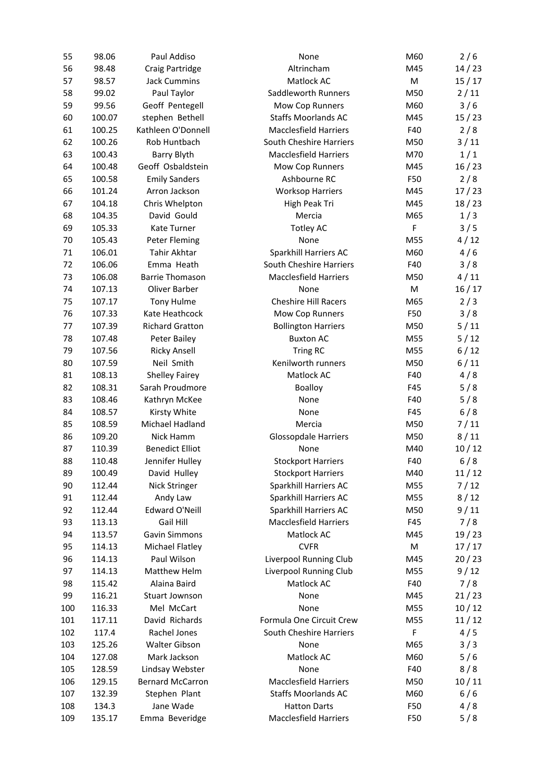| 55  | 98.06  | Paul Addiso             | None                         | M60 | 2/6    |
|-----|--------|-------------------------|------------------------------|-----|--------|
| 56  | 98.48  | Craig Partridge         | Altrincham                   | M45 | 14/23  |
| 57  | 98.57  | <b>Jack Cummins</b>     | Matlock AC                   | M   | 15/17  |
| 58  | 99.02  | Paul Taylor             | Saddleworth Runners          | M50 | 2/11   |
| 59  | 99.56  | Geoff Pentegell         | Mow Cop Runners              | M60 | 3/6    |
| 60  | 100.07 | stephen Bethell         | <b>Staffs Moorlands AC</b>   | M45 | 15/23  |
| 61  | 100.25 | Kathleen O'Donnell      | <b>Macclesfield Harriers</b> | F40 | 2/8    |
| 62  | 100.26 | Rob Huntbach            | South Cheshire Harriers      | M50 | $3/11$ |
| 63  | 100.43 | Barry Blyth             | <b>Macclesfield Harriers</b> | M70 | 1/1    |
| 64  | 100.48 | Geoff Osbaldstein       | Mow Cop Runners              | M45 | 16/23  |
| 65  | 100.58 | <b>Emily Sanders</b>    | Ashbourne RC                 | F50 | 2/8    |
| 66  | 101.24 | Arron Jackson           | <b>Worksop Harriers</b>      | M45 | 17/23  |
| 67  | 104.18 | Chris Whelpton          | High Peak Tri                | M45 | 18/23  |
| 68  | 104.35 | David Gould             | Mercia                       | M65 | 1/3    |
| 69  | 105.33 | Kate Turner             | <b>Totley AC</b>             | F   | 3/5    |
| 70  | 105.43 | Peter Fleming           | None                         | M55 | 4/12   |
| 71  | 106.01 | Tahir Akhtar            | Sparkhill Harriers AC        | M60 | 4/6    |
| 72  | 106.06 | Emma Heath              | South Cheshire Harriers      | F40 | 3/8    |
| 73  | 106.08 | <b>Barrie Thomason</b>  | <b>Macclesfield Harriers</b> | M50 | 4/11   |
| 74  | 107.13 | Oliver Barber           | None                         | M   | 16/17  |
| 75  | 107.17 | <b>Tony Hulme</b>       | <b>Cheshire Hill Racers</b>  | M65 | 2/3    |
| 76  | 107.33 | Kate Heathcock          | Mow Cop Runners              | F50 | 3/8    |
| 77  | 107.39 | <b>Richard Gratton</b>  | <b>Bollington Harriers</b>   | M50 | 5/11   |
| 78  | 107.48 | Peter Bailey            | <b>Buxton AC</b>             | M55 | 5/12   |
| 79  | 107.56 | <b>Ricky Ansell</b>     | Tring RC                     | M55 | 6/12   |
| 80  | 107.59 | Neil Smith              | Kenilworth runners           | M50 | 6/11   |
| 81  | 108.13 | <b>Shelley Fairey</b>   | Matlock AC                   | F40 | 4/8    |
| 82  | 108.31 | Sarah Proudmore         | <b>Boalloy</b>               | F45 | 5/8    |
| 83  | 108.46 | Kathryn McKee           | None                         | F40 | 5/8    |
| 84  | 108.57 | Kirsty White            | None                         | F45 | 6/8    |
| 85  | 108.59 | Michael Hadland         | Mercia                       | M50 | 7/11   |
| 86  | 109.20 | Nick Hamm               | <b>Glossopdale Harriers</b>  | M50 | 8/11   |
| 87  | 110.39 | <b>Benedict Elliot</b>  | None                         | M40 | 10/12  |
| 88  | 110.48 | Jennifer Hulley         | <b>Stockport Harriers</b>    | F40 | 6/8    |
| 89  | 100.49 | David Hulley            | <b>Stockport Harriers</b>    | M40 | 11/12  |
| 90  | 112.44 | Nick Stringer           | Sparkhill Harriers AC        | M55 | $7/12$ |
| 91  | 112.44 | Andy Law                | Sparkhill Harriers AC        | M55 | 8/12   |
| 92  | 112.44 | Edward O'Neill          | Sparkhill Harriers AC        | M50 | 9/11   |
| 93  | 113.13 | Gail Hill               | <b>Macclesfield Harriers</b> | F45 | 7/8    |
| 94  | 113.57 | <b>Gavin Simmons</b>    | Matlock AC                   | M45 | 19/23  |
| 95  | 114.13 | Michael Flatley         | <b>CVFR</b>                  | M   | 17/17  |
| 96  | 114.13 | Paul Wilson             | Liverpool Running Club       | M45 | 20/23  |
| 97  | 114.13 | Matthew Helm            | Liverpool Running Club       | M55 | 9/12   |
| 98  | 115.42 | Alaina Baird            | Matlock AC                   | F40 | 7/8    |
| 99  | 116.21 | Stuart Jownson          | None                         | M45 | 21/23  |
| 100 | 116.33 | Mel McCart              | None                         | M55 | 10/12  |
| 101 | 117.11 | David Richards          | Formula One Circuit Crew     | M55 | 11/12  |
| 102 | 117.4  | Rachel Jones            | South Cheshire Harriers      | F   | 4/5    |
| 103 | 125.26 | Walter Gibson           | None                         | M65 | 3/3    |
| 104 | 127.08 | Mark Jackson            | Matlock AC                   | M60 | 5/6    |
| 105 | 128.59 | Lindsay Webster         | None                         | F40 | 8/8    |
| 106 | 129.15 | <b>Bernard McCarron</b> | <b>Macclesfield Harriers</b> | M50 | 10/11  |
| 107 | 132.39 | Stephen Plant           | <b>Staffs Moorlands AC</b>   | M60 | 6/6    |
| 108 | 134.3  | Jane Wade               | <b>Hatton Darts</b>          | F50 | 4/8    |
| 109 | 135.17 | Emma Beveridge          | <b>Macclesfield Harriers</b> | F50 | 5/8    |
|     |        |                         |                              |     |        |